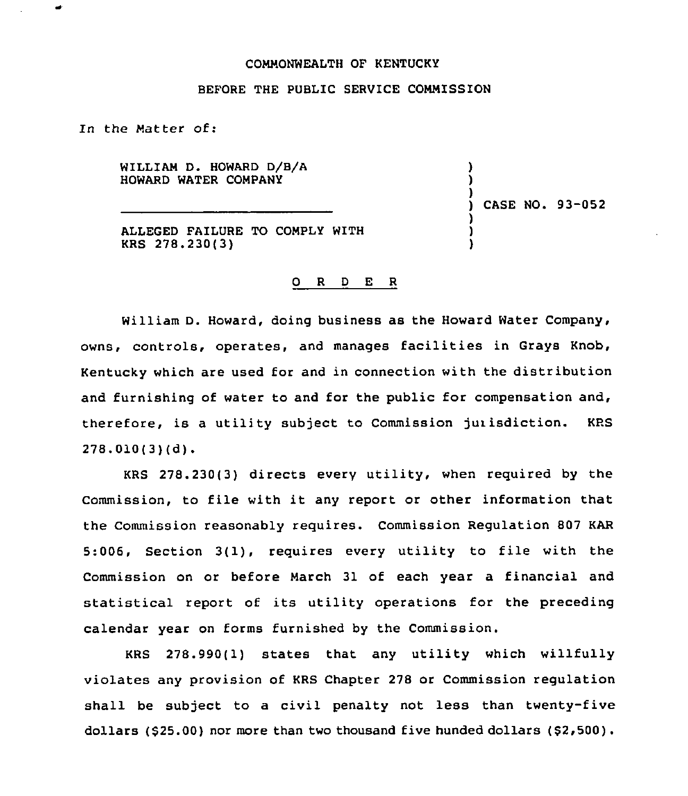#### COMMONWEALTH OF KENTUCKY

### BEFORE THE PUBLIC SERVICE COMMISSION

In the Matter of:

WILLIAM D. HOWARD D/B/A HOWARD WATER COMPANY

ALLEGED FAILURE TO COMPLY WITH KRS 278.230(3)

# ) CASE NO. 93-052

) ) )

> ) ) )

### 0 <sup>R</sup> <sup>D</sup> E <sup>R</sup>

William D. Howard, doing business as the Howard Water Company, owns, controls, operates, and manages facilities in Grays Knob, Kentucky which are used for and in connection with the distribution and furnishing of water to and for the public for compensation and, therefore, is a utility subject to Commission jurisdiction. KPS  $278.010(3)(d)$ .

278.230(3) directs every utility, when required by the Commission, to file with it any report or other information that the Commission reasonably requires. Commission Regulation 807 KAR 5:006, Section 3(1), requires every utility to file with the Commission on or before March 31 of each year a financial and statistical report of its utility operations for the preceding calendar year on forms furnished by the Commission.

KRS 278.990(1) states that any utility which willfully violates any provision of KRS Chapter 278 or Commission regulation shall be subject to a civil penalty not less than twenty-five dollars (\$25.00) nor more than two thousand five hunded dollars (\$2,500).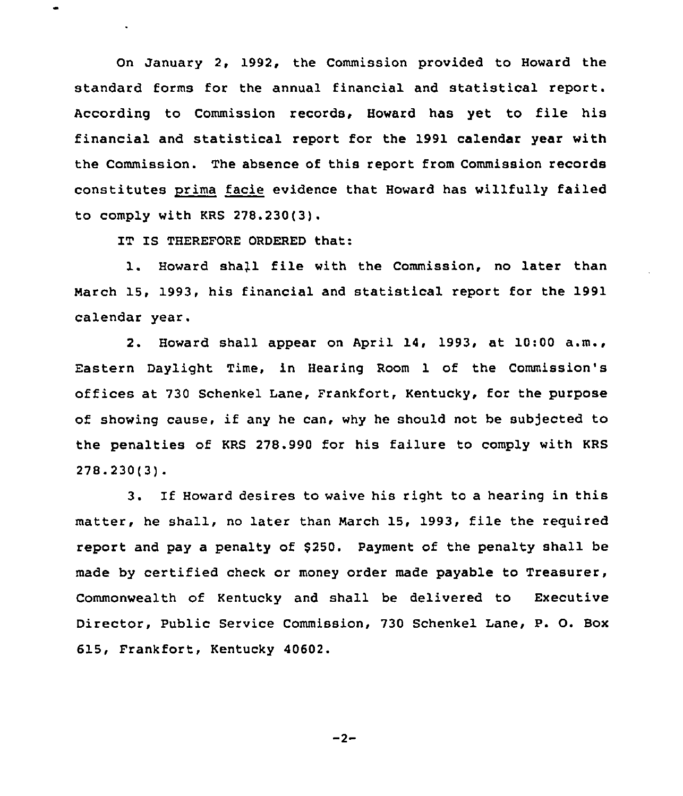On January 2, 1992, the Commission provided to Howard the standard forms for the annual financial and statistical report. According to Commission records, Howard has yet to file his financial and statistical report for the 1991 calendar year with the Commission. The absence of this report from Commission records constitutes prima facie evidence that Howard has willfully failed to comply with KRS 278.230(3).

IT IS THEREFORE ORDERED that:

1. Howard shall file with the Commission, no later than Narch 15, 1993, his financial and statistical report for the 1991 calendar year.

2. Howard shall appear on April 14, 1993, at 10:00 a.m., Eastern Daylight Time, in Hearing Room 1 of the Commission's offices at 730 Schenkel Lane, Frankfort, Kentucky, for the purpose of showing cause, if any he can, why he should not be subjected to the penalties of KRS 278.990 for his failure to comply with KRS 278.230(3).

3. If Howard desires to waive his right to <sup>a</sup> hearing in this matter, he shall, no later than March 15, 1993, file the required report and pay a penalty of \$250. Payment of the penalty shall be made by certified check or money order made payable to Treasurer, Commonwealth of Kentucky and shall be delivered to Executive Director, Public Service Commission, 730 Schenkel Lane, P. O. Box 615, Frankfort, Kentucky 40602.

 $-2-$